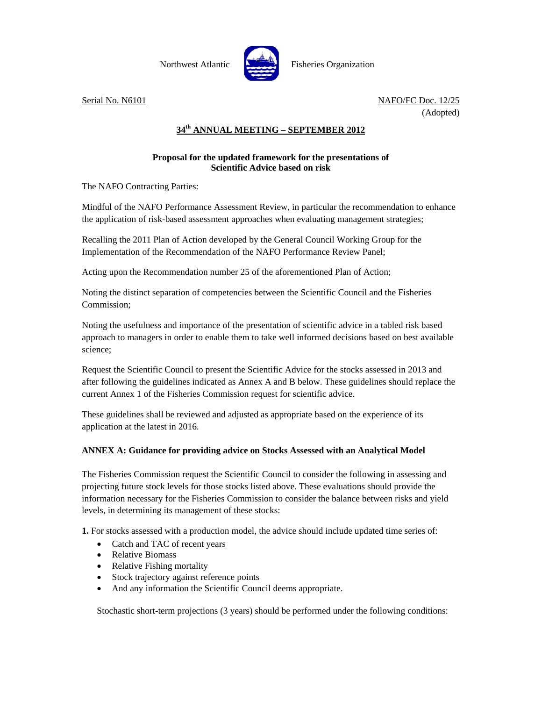

**Northwest Atlantic Constanting Fisheries Organization** 

Serial No. N6101 NAFO/FC Doc. 12/25 (Adopted)

## **34th ANNUAL MEETING – SEPTEMBER 2012**

## **Proposal for the updated framework for the presentations of Scientific Advice based on risk**

The NAFO Contracting Parties:

Mindful of the NAFO Performance Assessment Review, in particular the recommendation to enhance the application of risk-based assessment approaches when evaluating management strategies;

Recalling the 2011 Plan of Action developed by the General Council Working Group for the Implementation of the Recommendation of the NAFO Performance Review Panel;

Acting upon the Recommendation number 25 of the aforementioned Plan of Action;

Noting the distinct separation of competencies between the Scientific Council and the Fisheries Commission;

Noting the usefulness and importance of the presentation of scientific advice in a tabled risk based approach to managers in order to enable them to take well informed decisions based on best available science;

Request the Scientific Council to present the Scientific Advice for the stocks assessed in 2013 and after following the guidelines indicated as Annex A and B below. These guidelines should replace the current Annex 1 of the Fisheries Commission request for scientific advice.

These guidelines shall be reviewed and adjusted as appropriate based on the experience of its application at the latest in 2016.

## **ANNEX A: Guidance for providing advice on Stocks Assessed with an Analytical Model**

The Fisheries Commission request the Scientific Council to consider the following in assessing and projecting future stock levels for those stocks listed above. These evaluations should provide the information necessary for the Fisheries Commission to consider the balance between risks and yield levels, in determining its management of these stocks:

**1.** For stocks assessed with a production model, the advice should include updated time series of:

- Catch and TAC of recent years
- Relative Biomass
- Relative Fishing mortality
- Stock trajectory against reference points
- And any information the Scientific Council deems appropriate.

Stochastic short-term projections (3 years) should be performed under the following conditions: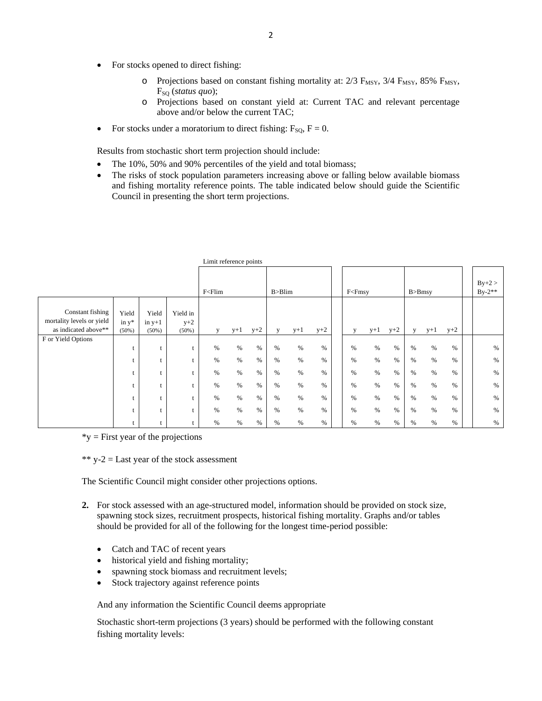- For stocks opened to direct fishing:
	- $\circ$  Projections based on constant fishing mortality at: 2/3 F<sub>MSY</sub>, 3/4 F<sub>MSY</sub>, 85% F<sub>MSY</sub>, FSQ (*status quo*);
	- o Projections based on constant yield at: Current TAC and relevant percentage above and/or below the current TAC;
- For stocks under a moratorium to direct fishing:  $F_{\text{SO}}$ ,  $F = 0$ .

Results from stochastic short term projection should include:

- The 10%, 50% and 90% percentiles of the yield and total biomass;
- The risks of stock population parameters increasing above or falling below available biomass and fishing mortality reference points. The table indicated below should guide the Scientific Council in presenting the short term projections.

|                                                                       |                            |                               |                               | <b>E</b>                                                                                                                                                                                                                                            |       |       |          |       |       |                                                                                                                                                              |       |       |             |       |       |  |                      |
|-----------------------------------------------------------------------|----------------------------|-------------------------------|-------------------------------|-----------------------------------------------------------------------------------------------------------------------------------------------------------------------------------------------------------------------------------------------------|-------|-------|----------|-------|-------|--------------------------------------------------------------------------------------------------------------------------------------------------------------|-------|-------|-------------|-------|-------|--|----------------------|
|                                                                       |                            |                               |                               | F <flim< td=""><td></td><td></td><td>B &gt; Blim</td><td></td><td></td><td>F<fmsy< td=""><td></td><td></td><td><math>B &gt; B</math>msy</td><td></td><td></td><td></td><td><math>By+2 &gt;</math><br/><math>By-2**</math></td></fmsy<></td></flim<> |       |       | B > Blim |       |       | F <fmsy< td=""><td></td><td></td><td><math>B &gt; B</math>msy</td><td></td><td></td><td></td><td><math>By+2 &gt;</math><br/><math>By-2**</math></td></fmsy<> |       |       | $B > B$ msy |       |       |  | $By+2 >$<br>$By-2**$ |
| Constant fishing<br>mortality levels or yield<br>as indicated above** | Yield<br>in $y^*$<br>(50%) | Yield<br>in $y+1$<br>$(50\%)$ | Yield in<br>$y+2$<br>$(50\%)$ | V                                                                                                                                                                                                                                                   | $y+1$ | $y+2$ | V        | $y+1$ | $y+2$ | V                                                                                                                                                            | $y+1$ | $y+2$ | V           | $y+1$ | $y+2$ |  |                      |
| F or Yield Options                                                    |                            |                               |                               | %                                                                                                                                                                                                                                                   | $\%$  | %     | %        | $\%$  | $\%$  | $\%$                                                                                                                                                         | %     | %     | $\%$        | $\%$  | %     |  | $\%$                 |
|                                                                       |                            |                               |                               | %                                                                                                                                                                                                                                                   | $\%$  | $\%$  | %        | $\%$  | $\%$  | $\%$                                                                                                                                                         | %     | $\%$  | $\%$        | %     | %     |  | $\%$                 |
|                                                                       |                            |                               |                               | $\%$                                                                                                                                                                                                                                                | $\%$  | $\%$  | $\%$     | $\%$  | $\%$  | $\%$                                                                                                                                                         | $\%$  | $\%$  | $\%$        | $\%$  | %     |  | $\%$                 |
|                                                                       |                            |                               |                               | $\%$                                                                                                                                                                                                                                                | $\%$  | $\%$  | %        | $\%$  | $\%$  | $\%$                                                                                                                                                         | $\%$  | $\%$  | %           | $\%$  | %     |  | $\%$                 |
|                                                                       |                            |                               |                               | %                                                                                                                                                                                                                                                   | $\%$  | %     | $\%$     | $\%$  | $\%$  | $\%$                                                                                                                                                         | %     | %     | %           | %     | %     |  | $\%$                 |
|                                                                       |                            |                               |                               | %                                                                                                                                                                                                                                                   | $\%$  | $\%$  | $\%$     | $\%$  | $\%$  | $\%$                                                                                                                                                         | $\%$  | $\%$  | %           | $\%$  | %     |  | $\%$                 |
|                                                                       |                            |                               |                               | %                                                                                                                                                                                                                                                   | $\%$  | %     | %        | $\%$  | $\%$  | %                                                                                                                                                            | $\%$  | %     | $\%$        | $\%$  | %     |  | $\%$                 |

Limit reference points

 $*$ y = First year of the projections

\*\*  $y-2$  = Last year of the stock assessment

The Scientific Council might consider other projections options.

- **2.** For stock assessed with an age-structured model, information should be provided on stock size, spawning stock sizes, recruitment prospects, historical fishing mortality. Graphs and/or tables should be provided for all of the following for the longest time-period possible:
	- Catch and TAC of recent years
	- historical yield and fishing mortality;
	- spawning stock biomass and recruitment levels;
	- Stock trajectory against reference points

And any information the Scientific Council deems appropriate

Stochastic short-term projections (3 years) should be performed with the following constant fishing mortality levels: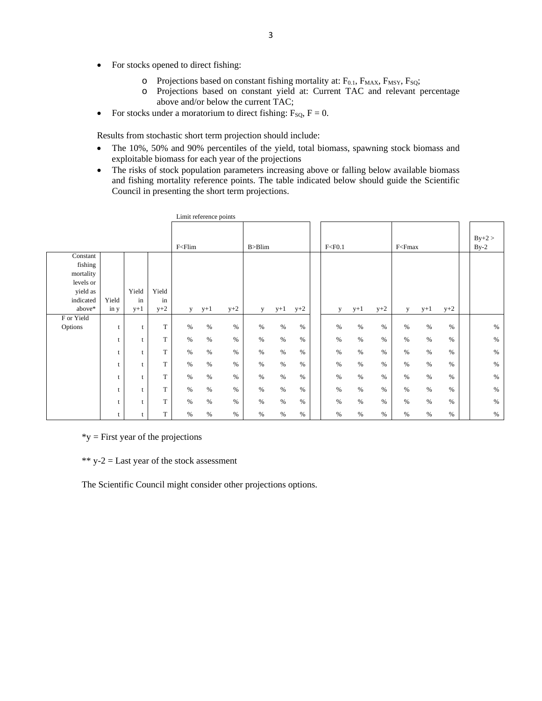- For stocks opened to direct fishing:
	- $\circ$  Projections based on constant fishing mortality at: F<sub>0.1</sub>, F<sub>MAX</sub>, F<sub>MSY</sub>, F<sub>SQ</sub>;
	- o Projections based on constant yield at: Current TAC and relevant percentage above and/or below the current TAC;
- For stocks under a moratorium to direct fishing:  $F_{\text{SO}}$ ,  $F = 0$ .

Results from stochastic short term projection should include:

- The 10%, 50% and 90% percentiles of the yield, total biomass, spawning stock biomass and exploitable biomass for each year of the projections
- The risks of stock population parameters increasing above or falling below available biomass and fishing mortality reference points. The table indicated below should guide the Scientific Council in presenting the short term projections.

|            |       |              |       | Limit reference points |       |       |          |       |       |  |          |       |       |                                                                                                |       |       |                    |
|------------|-------|--------------|-------|------------------------|-------|-------|----------|-------|-------|--|----------|-------|-------|------------------------------------------------------------------------------------------------|-------|-------|--------------------|
|            |       |              |       | $F<$ Flim              |       |       | B > Blim |       |       |  | F < F0.1 |       |       | F <fmax< td=""><td></td><td></td><td><math>By+2 &gt;</math><br/><math>By-2</math></td></fmax<> |       |       | $By+2 >$<br>$By-2$ |
| Constant   |       |              |       |                        |       |       |          |       |       |  |          |       |       |                                                                                                |       |       |                    |
| fishing    |       |              |       |                        |       |       |          |       |       |  |          |       |       |                                                                                                |       |       |                    |
| mortality  |       |              |       |                        |       |       |          |       |       |  |          |       |       |                                                                                                |       |       |                    |
| levels or  |       |              |       |                        |       |       |          |       |       |  |          |       |       |                                                                                                |       |       |                    |
| yield as   |       | Yield        | Yield |                        |       |       |          |       |       |  |          |       |       |                                                                                                |       |       |                    |
| indicated  | Yield | in           | in    |                        |       |       |          |       |       |  |          |       |       |                                                                                                |       |       |                    |
| above*     | in y  | $y+1$        | $y+2$ | y                      | $y+1$ | $y+2$ | У        | $y+1$ | $y+2$ |  | y        | $y+1$ | $y+2$ | У                                                                                              | $y+1$ | $y+2$ |                    |
| F or Yield |       |              |       |                        |       |       |          |       |       |  |          |       |       |                                                                                                |       |       |                    |
| Options    | t     | t            | T     | $\%$                   | $\%$  | $\%$  | $\%$     | $\%$  | $\%$  |  | $\%$     | $\%$  | $\%$  | $\%$                                                                                           | $\%$  | $\%$  | %                  |
|            | t     | t            | T     | $\%$                   | $\%$  | $\%$  | $\%$     | %     | %     |  | $\%$     | $\%$  | $\%$  | $\%$                                                                                           | $\%$  | $\%$  | $\%$               |
|            | t     | t            | T     | $\%$                   | $\%$  | $\%$  | $\%$     | $\%$  | $\%$  |  | $\%$     | %     | $\%$  | $\%$                                                                                           | $\%$  | $\%$  | $\%$               |
|            | t     | $\mathbf{t}$ | T     | $\%$                   | $\%$  | $\%$  | $\%$     | $\%$  | $\%$  |  | $\%$     | $\%$  | $\%$  | $\%$                                                                                           | $\%$  | $\%$  | $\%$               |
|            | t     |              | T     | $\%$                   | $\%$  | $\%$  | $\%$     | $\%$  | $\%$  |  | $\%$     | $\%$  | $\%$  | $\%$                                                                                           | $\%$  | $\%$  | $\%$               |
|            | t     | t            | T     | %                      | $\%$  | $\%$  | $\%$     | $\%$  | $\%$  |  | $\%$     | $\%$  | $\%$  | $\%$                                                                                           | $\%$  | $\%$  | $\%$               |
|            | t     | t            | T     | $\%$                   | $\%$  | $\%$  | $\%$     | $\%$  | $\%$  |  | $\%$     | $\%$  | $\%$  | $\%$                                                                                           | $\%$  | $\%$  | $\%$               |
|            | t     |              | T     | $\%$                   | $\%$  | $\%$  | $\%$     | $\%$  | %     |  | $\%$     | $\%$  | $\%$  | $\%$                                                                                           | $\%$  | $\%$  | $\%$               |

 $*$ y = First year of the projections

 $*$  y-2 = Last year of the stock assessment

The Scientific Council might consider other projections options.